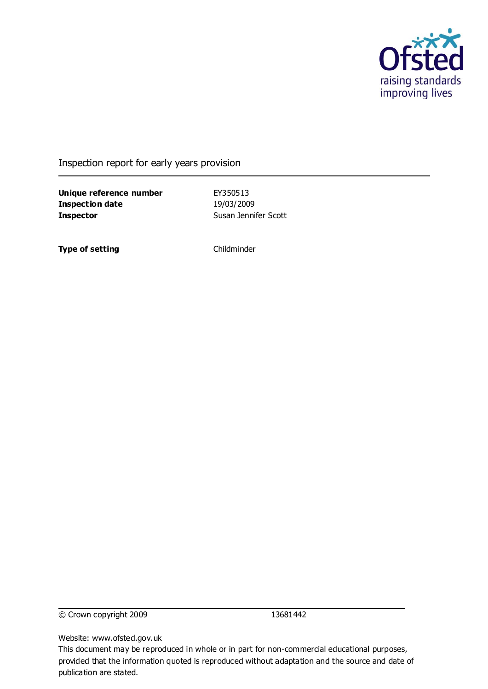

#### Inspection report for early years provision

**Unique reference number** EY350513 **Inspection date** 19/03/2009 **Inspector** Susan Jennifer Scott

**Type of setting** Childminder

© Crown copyright 2009 13681442

Website: www.ofsted.gov.uk

This document may be reproduced in whole or in part for non-commercial educational purposes, provided that the information quoted is reproduced without adaptation and the source and date of publication are stated.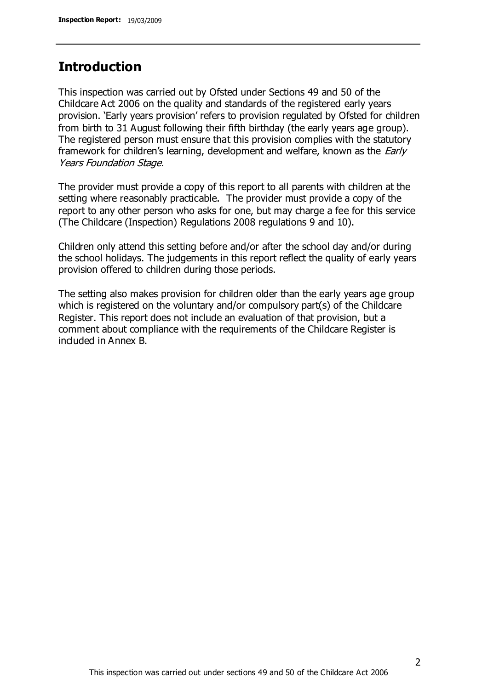## **Introduction**

This inspection was carried out by Ofsted under Sections 49 and 50 of the Childcare Act 2006 on the quality and standards of the registered early years provision. 'Early years provision' refers to provision regulated by Ofsted for children from birth to 31 August following their fifth birthday (the early years age group). The registered person must ensure that this provision complies with the statutory framework for children's learning, development and welfare, known as the *Early* Years Foundation Stage.

The provider must provide a copy of this report to all parents with children at the setting where reasonably practicable. The provider must provide a copy of the report to any other person who asks for one, but may charge a fee for this service (The Childcare (Inspection) Regulations 2008 regulations 9 and 10).

Children only attend this setting before and/or after the school day and/or during the school holidays. The judgements in this report reflect the quality of early years provision offered to children during those periods.

The setting also makes provision for children older than the early years age group which is registered on the voluntary and/or compulsory part(s) of the Childcare Register. This report does not include an evaluation of that provision, but a comment about compliance with the requirements of the Childcare Register is included in Annex B.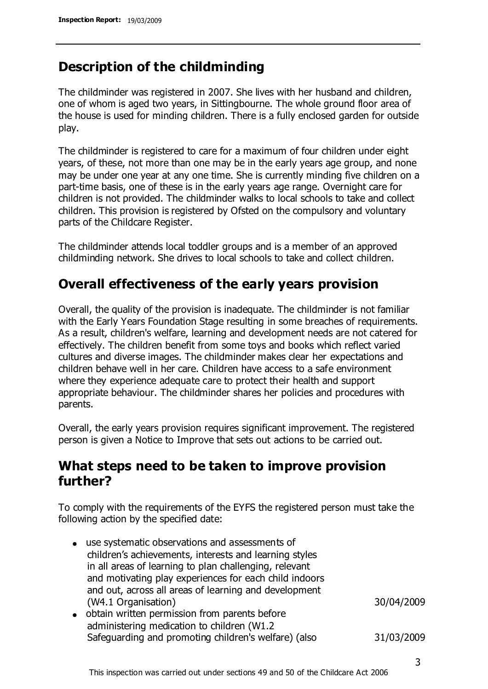# **Description of the childminding**

The childminder was registered in 2007. She lives with her husband and children, one of whom is aged two years, in Sittingbourne. The whole ground floor area of the house is used for minding children. There is a fully enclosed garden for outside play.

The childminder is registered to care for a maximum of four children under eight years, of these, not more than one may be in the early years age group, and none may be under one year at any one time. She is currently minding five children on a part-time basis, one of these is in the early years age range. Overnight care for children is not provided. The childminder walks to local schools to take and collect children. This provision is registered by Ofsted on the compulsory and voluntary parts of the Childcare Register.

The childminder attends local toddler groups and is a member of an approved childminding network. She drives to local schools to take and collect children.

# **Overall effectiveness of the early years provision**

Overall, the quality of the provision is inadequate. The childminder is not familiar with the Early Years Foundation Stage resulting in some breaches of requirements. As a result, children's welfare, learning and development needs are not catered for effectively. The children benefit from some toys and books which reflect varied cultures and diverse images. The childminder makes clear her expectations and children behave well in her care. Children have access to a safe environment where they experience adequate care to protect their health and support appropriate behaviour. The childminder shares her policies and procedures with parents.

Overall, the early years provision requires significant improvement. The registered person is given a Notice to Improve that sets out actions to be carried out.

## **What steps need to be taken to improve provision further?**

To comply with the requirements of the EYFS the registered person must take the following action by the specified date:

- use systematic observations and assessments of children's achievements, interests and learning styles in all areas of learning to plan challenging, relevant and motivating play experiences for each child indoors and out, across all areas of learning and development (W4.1 Organisation) 30/04/2009
- obtain written permission from parents before administering medication to children (W1.2 Safeguarding and promoting children's welfare) (also 31/03/2009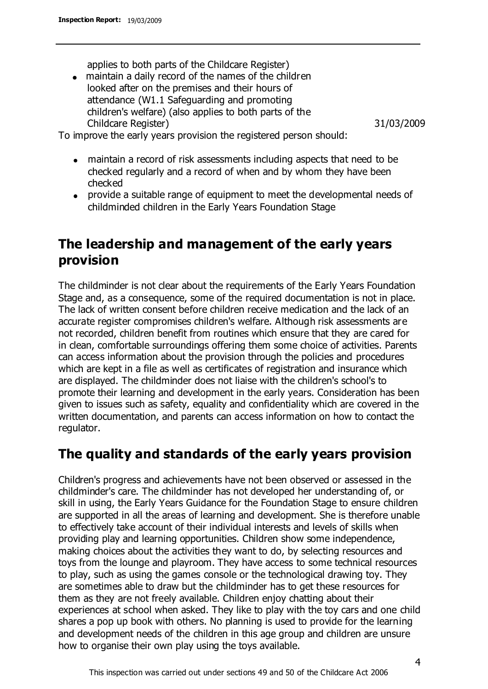applies to both parts of the Childcare Register)

maintain a daily record of the names of the children looked after on the premises and their hours of attendance (W1.1 Safeguarding and promoting children's welfare) (also applies to both parts of the Childcare Register) 31/03/2009

To improve the early years provision the registered person should:

- maintain a record of risk assessments including aspects that need to be checked regularly and a record of when and by whom they have been checked
- provide a suitable range of equipment to meet the developmental needs of childminded children in the Early Years Foundation Stage

# **The leadership and management of the early years provision**

The childminder is not clear about the requirements of the Early Years Foundation Stage and, as a consequence, some of the required documentation is not in place. The lack of written consent before children receive medication and the lack of an accurate register compromises children's welfare. Although risk assessments are not recorded, children benefit from routines which ensure that they are cared for in clean, comfortable surroundings offering them some choice of activities. Parents can access information about the provision through the policies and procedures which are kept in a file as well as certificates of registration and insurance which are displayed. The childminder does not liaise with the children's school's to promote their learning and development in the early years. Consideration has been given to issues such as safety, equality and confidentiality which are covered in the written documentation, and parents can access information on how to contact the regulator.

# **The quality and standards of the early years provision**

Children's progress and achievements have not been observed or assessed in the childminder's care. The childminder has not developed her understanding of, or skill in using, the Early Years Guidance for the Foundation Stage to ensure children are supported in all the areas of learning and development. She is therefore unable to effectively take account of their individual interests and levels of skills when providing play and learning opportunities. Children show some independence, making choices about the activities they want to do, by selecting resources and toys from the lounge and playroom. They have access to some technical resources to play, such as using the games console or the technological drawing toy. They are sometimes able to draw but the childminder has to get these resources for them as they are not freely available. Children enjoy chatting about their experiences at school when asked. They like to play with the toy cars and one child shares a pop up book with others. No planning is used to provide for the learning and development needs of the children in this age group and children are unsure how to organise their own play using the toys available.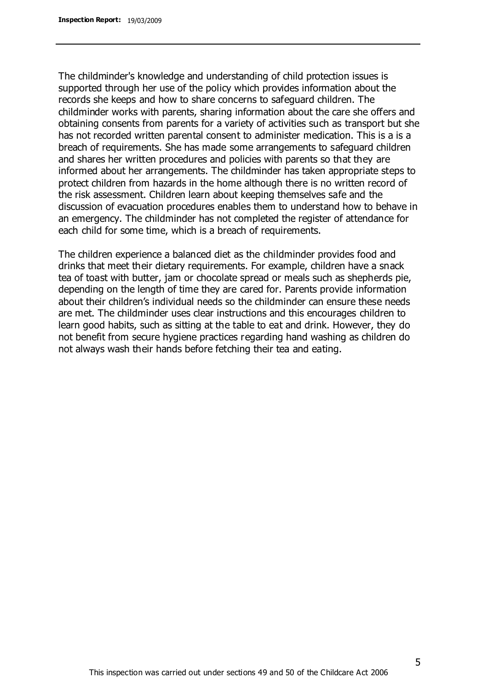The childminder's knowledge and understanding of child protection issues is supported through her use of the policy which provides information about the records she keeps and how to share concerns to safeguard children. The childminder works with parents, sharing information about the care she offers and obtaining consents from parents for a variety of activities such as transport but she has not recorded written parental consent to administer medication. This is a is a breach of requirements. She has made some arrangements to safeguard children and shares her written procedures and policies with parents so that they are informed about her arrangements. The childminder has taken appropriate steps to protect children from hazards in the home although there is no written record of the risk assessment. Children learn about keeping themselves safe and the discussion of evacuation procedures enables them to understand how to behave in an emergency. The childminder has not completed the register of attendance for each child for some time, which is a breach of requirements.

The children experience a balanced diet as the childminder provides food and drinks that meet their dietary requirements. For example, children have a snack tea of toast with butter, jam or chocolate spread or meals such as shepherds pie, depending on the length of time they are cared for. Parents provide information about their children's individual needs so the childminder can ensure these needs are met. The childminder uses clear instructions and this encourages children to learn good habits, such as sitting at the table to eat and drink. However, they do not benefit from secure hygiene practices regarding hand washing as children do not always wash their hands before fetching their tea and eating.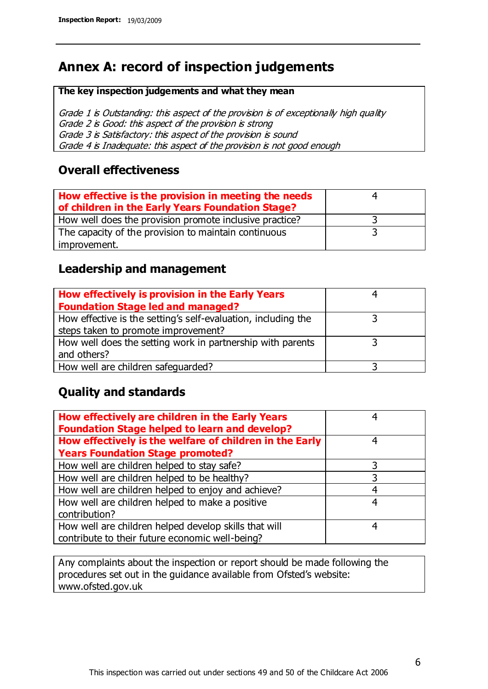# **Annex A: record of inspection judgements**

#### **The key inspection judgements and what they mean**

Grade 1 is Outstanding: this aspect of the provision is of exceptionally high quality Grade 2 is Good: this aspect of the provision is strong Grade 3 is Satisfactory: this aspect of the provision is sound Grade 4 is Inadequate: this aspect of the provision is not good enough

#### **Overall effectiveness**

| How effective is the provision in meeting the needs<br>of children in the Early Years Foundation Stage? |  |
|---------------------------------------------------------------------------------------------------------|--|
| How well does the provision promote inclusive practice?                                                 |  |
| The capacity of the provision to maintain continuous                                                    |  |
| improvement.                                                                                            |  |

#### **Leadership and management**

| How effectively is provision in the Early Years               |  |
|---------------------------------------------------------------|--|
| <b>Foundation Stage led and managed?</b>                      |  |
| How effective is the setting's self-evaluation, including the |  |
| steps taken to promote improvement?                           |  |
| How well does the setting work in partnership with parents    |  |
| and others?                                                   |  |
| How well are children safeguarded?                            |  |

### **Quality and standards**

| How effectively are children in the Early Years<br><b>Foundation Stage helped to learn and develop?</b> | 4 |
|---------------------------------------------------------------------------------------------------------|---|
| How effectively is the welfare of children in the Early                                                 | 4 |
| <b>Years Foundation Stage promoted?</b>                                                                 |   |
| How well are children helped to stay safe?                                                              |   |
| How well are children helped to be healthy?                                                             | 3 |
| How well are children helped to enjoy and achieve?                                                      | 4 |
| How well are children helped to make a positive                                                         | 4 |
| contribution?                                                                                           |   |
| How well are children helped develop skills that will                                                   | 4 |
| contribute to their future economic well-being?                                                         |   |

Any complaints about the inspection or report should be made following the procedures set out in the guidance available from Ofsted's website: www.ofsted.gov.uk